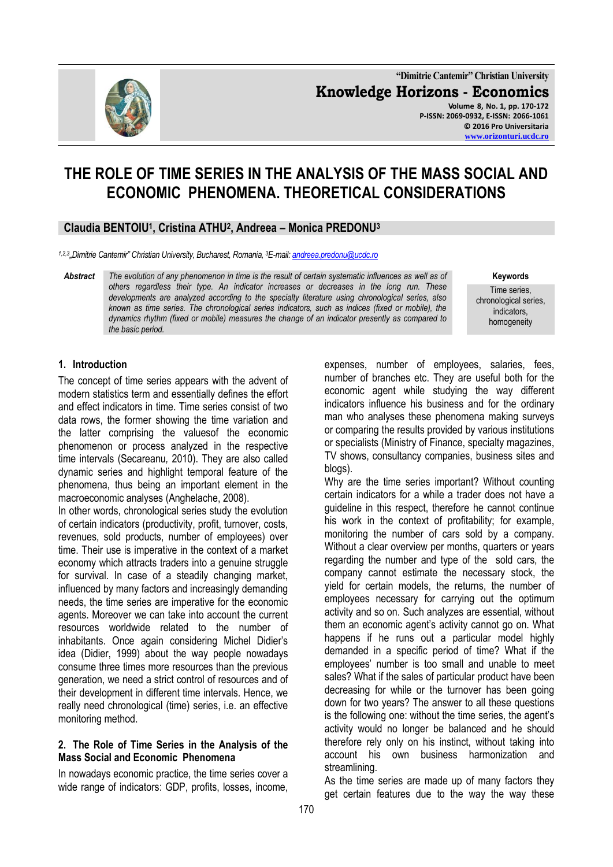

**"Dimitrie Cantemir" Christian University Knowledge Horizons - Economics Volume 8, No. 1, pp. 170-172 P-ISSN: 2069-0932, E-ISSN: 2066-1061 © 2016 Pro Universitaria [www.orizonturi.ucdc.ro](http://www.orizonturi.ucdc.ro/)**

# **THE ROLE OF TIME SERIES IN THE ANALYSIS OF THE MASS SOCIAL AND ECONOMIC PHENOMENA. THEORETICAL CONSIDERATIONS**

## **Claudia BENTOIU<sup>1</sup> , Cristina ATHU<sup>2</sup> , Andreea – Monica PREDONU<sup>3</sup>**

*1,2,3 "Dimitrie Cantemir" Christian University, Bucharest, Romania, <sup>3</sup>E-mail[: andreea.predonu@ucdc.ro](mailto:andreea.predonu@ucdc.ro)*

*Abstract The evolution of any phenomenon in time is the result of certain systematic influences as well as of others regardless their type. An indicator increases or decreases in the long run. These developments are analyzed according to the specialty literature using chronological series, also known as time series. The chronological series indicators, such as indices (fixed or mobile), the dynamics rhythm (fixed or mobile) measures the change of an indicator presently as compared to the basic period.*

**Keywords**

Time series, chronological series, indicators, homogeneity

## **1. Introduction**

The concept of time series appears with the advent of modern statistics term and essentially defines the effort and effect indicators in time. Time series consist of two data rows, the former showing the time variation and the latter comprising the valuesof the economic phenomenon or process analyzed in the respective time intervals (Secareanu*,* 2010). They are also called dynamic series and highlight temporal feature of the phenomena, thus being an important element in the macroeconomic analyses (Anghelache, 2008).

In other words, chronological series study the evolution of certain indicators (productivity, profit, turnover, costs, revenues, sold products, number of employees) over time. Their use is imperative in the context of a market economy which attracts traders into a genuine struggle for survival. In case of a steadily changing market, influenced by many factors and increasingly demanding needs, the time series are imperative for the economic agents. Moreover we can take into account the current resources worldwide related to the number of inhabitants. Once again considering Michel Didier's idea (Didier, 1999) about the way people nowadays consume three times more resources than the previous generation, we need a strict control of resources and of their development in different time intervals. Hence, we really need chronological (time) series, i.e. an effective monitoring method.

#### **2. The Role of Time Series in the Analysis of the Mass Social and Economic Phenomena**

In nowadays economic practice, the time series cover a wide range of indicators: GDP, profits, losses, income,

expenses, number of employees, salaries, fees, number of branches etc. They are useful both for the economic agent while studying the way different indicators influence his business and for the ordinary man who analyses these phenomena making surveys or comparing the results provided by various institutions or specialists (Ministry of Finance, specialty magazines, TV shows, consultancy companies, business sites and blogs).

Why are the time series important? Without counting certain indicators for a while a trader does not have a guideline in this respect, therefore he cannot continue his work in the context of profitability; for example, monitoring the number of cars sold by a company. Without a clear overview per months, quarters or years regarding the number and type of the sold cars, the company cannot estimate the necessary stock, the yield for certain models, the returns, the number of employees necessary for carrying out the optimum activity and so on. Such analyzes are essential, without them an economic agent's activity cannot go on. What happens if he runs out a particular model highly demanded in a specific period of time? What if the employees' number is too small and unable to meet sales? What if the sales of particular product have been decreasing for while or the turnover has been going down for two years? The answer to all these questions is the following one: without the time series, the agent's activity would no longer be balanced and he should therefore rely only on his instinct, without taking into account his own business harmonization and streamlining.

As the time series are made up of many factors they get certain features due to the way the way these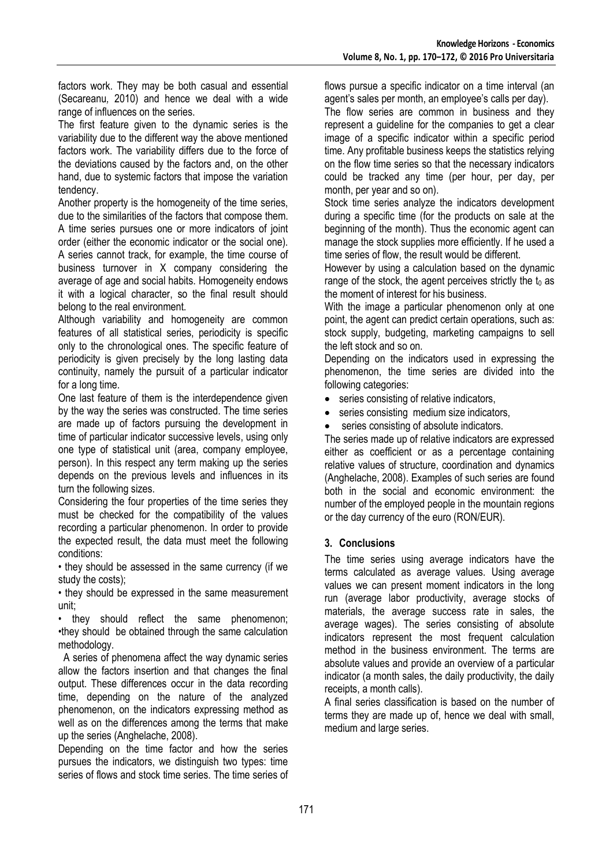factors work. They may be both casual and essential (Secareanu*,* 2010) and hence we deal with a wide range of influences on the series.

The first feature given to the dynamic series is the variability due to the different way the above mentioned factors work. The variability differs due to the force of the deviations caused by the factors and, on the other hand, due to systemic factors that impose the variation tendency.

Another property is the homogeneity of the time series, due to the similarities of the factors that compose them. A time series pursues one or more indicators of joint order (either the economic indicator or the social one). A series cannot track, for example, the time course of business turnover in X company considering the average of age and social habits. Homogeneity endows it with a logical character, so the final result should belong to the real environment.

Although variability and homogeneity are common features of all statistical series, periodicity is specific only to the chronological ones. The specific feature of periodicity is given precisely by the long lasting data continuity, namely the pursuit of a particular indicator for a long time.

One last feature of them is the interdependence given by the way the series was constructed. The time series are made up of factors pursuing the development in time of particular indicator successive levels, using only one type of statistical unit (area, company employee, person). In this respect any term making up the series depends on the previous levels and influences in its turn the following sizes.

Considering the four properties of the time series they must be checked for the compatibility of the values recording a particular phenomenon. In order to provide the expected result, the data must meet the following conditions:

• they should be assessed in the same currency (if we study the costs);

• they should be expressed in the same measurement unit;

• they should reflect the same phenomenon; •they should be obtained through the same calculation methodology.

 A series of phenomena affect the way dynamic series allow the factors insertion and that changes the final output. These differences occur in the data recording time, depending on the nature of the analyzed phenomenon, on the indicators expressing method as well as on the differences among the terms that make up the series (Anghelache, 2008).

Depending on the time factor and how the series pursues the indicators, we distinguish two types: time series of flows and stock time series. The time series of flows pursue a specific indicator on a time interval (an agent's sales per month, an employee's calls per day).

The flow series are common in business and they represent a guideline for the companies to get a clear image of a specific indicator within a specific period time. Any profitable business keeps the statistics relying on the flow time series so that the necessary indicators could be tracked any time (per hour, per day, per month, per year and so on).

Stock time series analyze the indicators development during a specific time (for the products on sale at the beginning of the month). Thus the economic agent can manage the stock supplies more efficiently. If he used a time series of flow, the result would be different.

However by using a calculation based on the dynamic range of the stock, the agent perceives strictly the  $t_0$  as the moment of interest for his business.

With the image a particular phenomenon only at one point, the agent can predict certain operations, such as: stock supply, budgeting, marketing campaigns to sell the left stock and so on.

Depending on the indicators used in expressing the phenomenon, the time series are divided into the following categories:

- series consisting of relative indicators,
- series consisting medium size indicators,
- series consisting of absolute indicators.

The series made up of relative indicators are expressed either as coefficient or as a percentage containing relative values of structure, coordination and dynamics (Anghelache, 2008). Examples of such series are found both in the social and economic environment: the number of the employed people in the mountain regions or the day currency of the euro (RON/EUR).

## **3. Conclusions**

The time series using average indicators have the terms calculated as average values. Using average values we can present moment indicators in the long run (average labor productivity, average stocks of materials, the average success rate in sales, the average wages). The series consisting of absolute indicators represent the most frequent calculation method in the business environment. The terms are absolute values and provide an overview of a particular indicator (a month sales, the daily productivity, the daily receipts, a month calls).

A final series classification is based on the number of terms they are made up of, hence we deal with small, medium and large series.